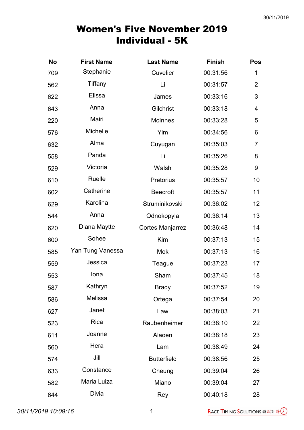| <b>No</b> | <b>First Name</b> | <b>Last Name</b>        | <b>Finish</b> | Pos            |
|-----------|-------------------|-------------------------|---------------|----------------|
| 709       | Stephanie         | Cuvelier                | 00:31:56      | 1              |
| 562       | Tiffany           | Li                      | 00:31:57      | $\overline{2}$ |
| 622       | Elissa            | James                   | 00:33:16      | 3              |
| 643       | Anna              | Gilchrist               | 00:33:18      | 4              |
| 220       | Mairi             | <b>McInnes</b>          | 00:33:28      | 5              |
| 576       | Michelle          | Yim                     | 00:34:56      | 6              |
| 632       | Alma              | Cuyugan                 | 00:35:03      | $\overline{7}$ |
| 558       | Panda             | Li                      | 00:35:26      | 8              |
| 529       | Victoria          | Walsh                   | 00:35:28      | $9\,$          |
| 610       | Ruelle            | Pretorius               | 00:35:57      | 10             |
| 602       | Catherine         | <b>Beecroft</b>         | 00:35:57      | 11             |
| 629       | Karolina          | Struminikovski          | 00:36:02      | 12             |
| 544       | Anna              | Odnokopyla              | 00:36:14      | 13             |
| 620       | Diana Maytte      | <b>Cortes Manjarrez</b> | 00:36:48      | 14             |
| 600       | Sohee             | Kim                     | 00:37:13      | 15             |
| 585       | Yan Tung Vanessa  | <b>Mok</b>              | 00:37:13      | 16             |
| 559       | Jessica           | Teague                  | 00:37:23      | 17             |
| 553       | lona              | Sham                    | 00:37:45      | 18             |
| 587       | Kathryn           | <b>Brady</b>            | 00:37:52      | 19             |
| 586       | Melissa           | Ortega                  | 00:37:54      | 20             |
| 627       | Janet             | Law                     | 00:38:03      | 21             |
| 523       | Rica              | Raubenheimer            | 00:38:10      | 22             |
| 611       | Joanne            | Alaoen                  | 00:38:18      | 23             |
| 560       | Hera              | Lam                     | 00:38:49      | 24             |
| 574       | Jill              | <b>Butterfield</b>      | 00:38:56      | 25             |
| 633       | Constance         | Cheung                  | 00:39:04      | 26             |
| 582       | Maria Luiza       | Miano                   | 00:39:04      | 27             |
| 644       | Divia             | Rey                     | 00:40:18      | 28             |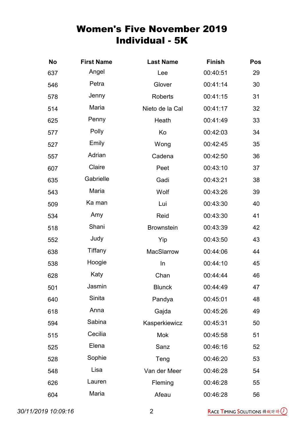| <b>No</b> | <b>First Name</b> | <b>Last Name</b>  | <b>Finish</b> | Pos |
|-----------|-------------------|-------------------|---------------|-----|
| 637       | Angel             | Lee               | 00:40:51      | 29  |
| 546       | Petra             | Glover            | 00:41:14      | 30  |
| 578       | Jenny             | <b>Roberts</b>    | 00:41:15      | 31  |
| 514       | Maria             | Nieto de la Cal   | 00:41:17      | 32  |
| 625       | Penny             | Heath             | 00:41:49      | 33  |
| 577       | Polly             | Ko                | 00:42:03      | 34  |
| 527       | Emily             | Wong              | 00:42:45      | 35  |
| 557       | Adrian            | Cadena            | 00:42:50      | 36  |
| 607       | Claire            | Peet              | 00:43:10      | 37  |
| 635       | Gabrielle         | Gadi              | 00:43:21      | 38  |
| 543       | Maria             | Wolf              | 00:43:26      | 39  |
| 509       | Ka man            | Lui               | 00:43:30      | 40  |
| 534       | Amy               | Reid              | 00:43:30      | 41  |
| 518       | Shani             | <b>Brownstein</b> | 00:43:39      | 42  |
| 552       | Judy              | Yip               | 00:43:50      | 43  |
| 638       | <b>Tiffany</b>    | MacSlarrow        | 00:44:06      | 44  |
| 538       | Hoogie            | In                | 00:44:10      | 45  |
| 628       | Katy              | Chan              | 00:44:44      | 46  |
| 501       | Jasmin            | <b>Blunck</b>     | 00:44:49      | 47  |
| 640       | Sinita            | Pandya            | 00:45:01      | 48  |
| 618       | Anna              | Gajda             | 00:45:26      | 49  |
| 594       | Sabina            | Kasperkiewicz     | 00:45:31      | 50  |
| 515       | Cecilia           | <b>Mok</b>        | 00:45:58      | 51  |
| 525       | Elena             | Sanz              | 00:46:16      | 52  |
| 528       | Sophie            | Teng              | 00:46:20      | 53  |
| 548       | Lisa              | Van der Meer      | 00:46:28      | 54  |
| 626       | Lauren            | Fleming           | 00:46:28      | 55  |
| 604       | Maria             | Afeau             | 00:46:28      | 56  |

30/11/2019 10:09:16 2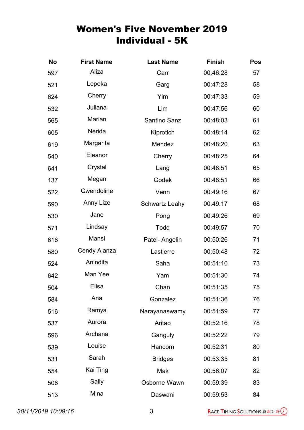| <b>No</b> | <b>First Name</b> | <b>Last Name</b>      | <b>Finish</b> | <b>Pos</b> |
|-----------|-------------------|-----------------------|---------------|------------|
| 597       | Aliza             | Carr                  | 00:46:28      | 57         |
| 521       | Lepeka            | Garg                  | 00:47:28      | 58         |
| 624       | Cherry            | Yim                   | 00:47:33      | 59         |
| 532       | Juliana           | Lim                   | 00:47:56      | 60         |
| 565       | Marian            | Santino Sanz          | 00:48:03      | 61         |
| 605       | Nerida            | Kiprotich             | 00:48:14      | 62         |
| 619       | Margarita         | Mendez                | 00:48:20      | 63         |
| 540       | Eleanor           | Cherry                | 00:48:25      | 64         |
| 641       | Crystal           | Lang                  | 00:48:51      | 65         |
| 137       | Megan             | Godek                 | 00:48:51      | 66         |
| 522       | Gwendoline        | Venn                  | 00:49:16      | 67         |
| 590       | Anny Lize         | <b>Schwartz Leahy</b> | 00:49:17      | 68         |
| 530       | Jane              | Pong                  | 00:49:26      | 69         |
| 571       | Lindsay           | Todd                  | 00:49:57      | 70         |
| 616       | Mansi             | Patel- Angelin        | 00:50:26      | 71         |
| 580       | Cendy Alanza      | Lastierre             | 00:50:48      | 72         |
| 524       | Anindita          | Saha                  | 00:51:10      | 73         |
| 642       | Man Yee           | Yam                   | 00:51:30      | 74         |
| 504       | Elisa             | Chan                  | 00:51:35      | 75         |
| 584       | Ana               | Gonzalez              | 00:51:36      | 76         |
| 516       | Ramya             | Narayanaswamy         | 00:51:59      | 77         |
| 537       | Aurora            | Aritao                | 00:52:16      | 78         |
| 596       | Archana           | Ganguly               | 00:52:22      | 79         |
| 539       | Louise            | Hancorn               | 00:52:31      | 80         |
| 531       | Sarah             | <b>Bridges</b>        | 00:53:35      | 81         |
| 554       | Kai Ting          | Mak                   | 00:56:07      | 82         |
| 506       | Sally             | Osborne Wawn          | 00:59:39      | 83         |
| 513       | Mina              | Daswani               | 00:59:53      | 84         |